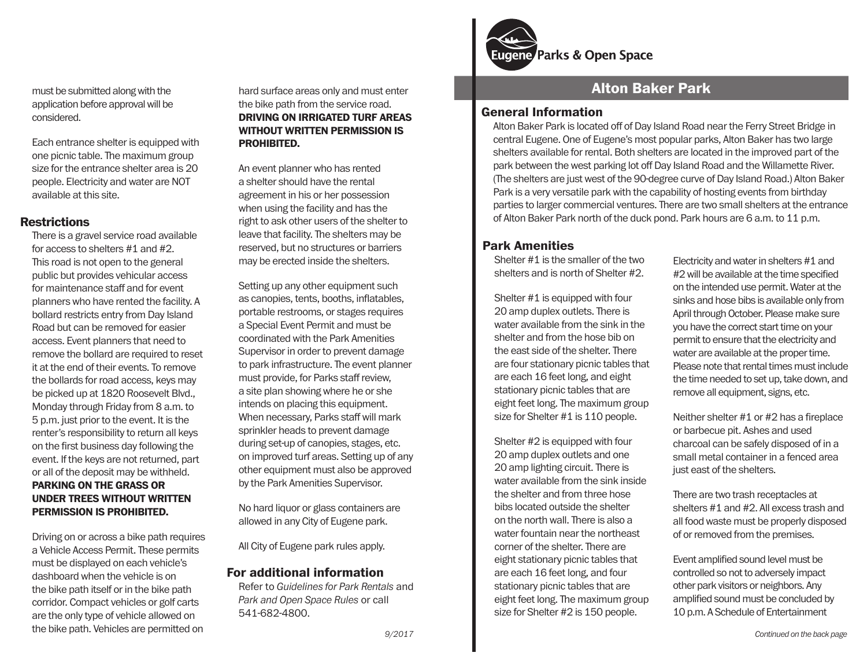must be submitted along with the application before approval will be considered.

Each entrance shelter is equipped with one picnic table. The maximum group size for the entrance shelter area is 20 people. Electricity and water are NOT available at this site.

#### **Restrictions**

There is a gravel service road available for access to shelters #1 and #2. This road is not open to the general public but provides vehicular access for maintenance staff and for event planners who have rented the facility. A bollard restricts entry from Day Island Road but can be removed for easier access. Event planners that need to remove the bollard are required to reset it at the end of their events. To remove the bollards for road access, keys may be picked up at 1820 Roosevelt Blvd., Monday through Friday from 8 a.m. to 5 p.m. just prior to the event. It is the renter's responsibility to return all keys on the first business day following the event. If the keys are not returned, part or all of the deposit may be withheld. **PARKING ON THE GRASS OR UNDER TREES WITHOUT WRITTEN PERMISSION IS PROHIBITED.**

Driving on or across a bike path requires a Vehicle Access Permit. These permits must be displayed on each vehicle's dashboard when the vehicle is on the bike path itself or in the bike path corridor. Compact vehicles or golf carts are the only type of vehicle allowed on the bike path. Vehicles are permitted on

hard surface areas only and must enter the bike path from the service road. **DRIVING ON IRRIGATED TURF AREAS WITHOUT WRITTEN PERMISSION IS PROHIBITED.**

An event planner who has rented a shelter should have the rental agreement in his or her possession when using the facility and has the right to ask other users of the shelter to leave that facility. The shelters may be reserved, but no structures or barriers may be erected inside the shelters.

Setting up any other equipment such as canopies, tents, booths, inflatables, portable restrooms, or stages requires a Special Event Permit and must be coordinated with the Park Amenities Supervisor in order to prevent damage to park infrastructure. The event planner must provide, for Parks staff review, a site plan showing where he or she intends on placing this equipment. When necessary, Parks staff will mark sprinkler heads to prevent damage during set-up of canopies, stages, etc. on improved turf areas. Setting up of any other equipment must also be approved by the Park Amenities Supervisor.

No hard liquor or glass containers are allowed in any City of Eugene park.

All City of Eugene park rules apply.

### **For additional information**

Refer to *Guidelines for Park Rentals* and *Park and Open Space Rules* or call 541-682-4800.



# **Alton Baker Park**

### **General Information**

Alton Baker Park is located off of Day Island Road near the Ferry Street Bridge in central Eugene. One of Eugene's most popular parks, Alton Baker has two large shelters available for rental. Both shelters are located in the improved part of the park between the west parking lot off Day Island Road and the Willamette River. (The shelters are just west of the 90-degree curve of Day Island Road.) Alton Baker Park is a very versatile park with the capability of hosting events from birthday parties to larger commercial ventures. There are two small shelters at the entrance of Alton Baker Park north of the duck pond. Park hours are 6 a.m. to 11 p.m.

## **Park Amenities**

Shelter #1 is the smaller of the two shelters and is north of Shelter #2.

Shelter #1 is equipped with four 20 amp duplex outlets. There is water available from the sink in the shelter and from the hose bib on the east side of the shelter. There are four stationary picnic tables that are each 16 feet long, and eight stationary picnic tables that are eight feet long. The maximum group size for Shelter #1 is 110 people.

Shelter #2 is equipped with four 20 amp duplex outlets and one 20 amp lighting circuit. There is water available from the sink inside the shelter and from three hose bibs located outside the shelter on the north wall. There is also a water fountain near the northeast corner of the shelter. There are eight stationary picnic tables that are each 16 feet long, and four stationary picnic tables that are eight feet long. The maximum group size for Shelter #2 is 150 people.

Electricity and water in shelters #1 and #2 will be available at the time specified on the intended use permit. Water at the sinks and hose bibs is available only from April through October. Please make sure you have the correct start time on your permit to ensure that the electricity and water are available at the proper time. Please note that rental times must include the time needed to set up, take down, and remove all equipment, signs, etc.

Neither shelter #1 or #2 has a fireplace or barbecue pit. Ashes and used charcoal can be safely disposed of in a small metal container in a fenced area just east of the shelters.

There are two trash receptacles at shelters #1 and #2. All excess trash and all food waste must be properly disposed of or removed from the premises.

Event amplified sound level must be controlled so not to adversely impact other park visitors or neighbors. Any amplified sound must be concluded by 10 p.m. A Schedule of Entertainment